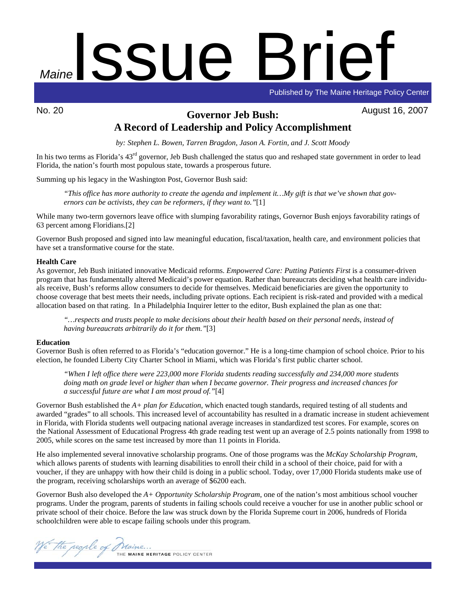

Published by The Maine Heritage Policy Center

# No. 20 August 16, 2007 **Governor Jeb Bush: A Record of Leadership and Policy Accomplishment**

*by: Stephen L. Bowen, Tarren Bragdon, Jason A. Fortin, and J. Scott Moody* 

In his two terms as Florida's 43<sup>rd</sup> governor, Jeb Bush challenged the status quo and reshaped state government in order to lead Florida, the nation's fourth most populous state, towards a prosperous future.

Summing up his legacy in the Washington Post, Governor Bush said:

*"This office has more authority to create the agenda and implement it…My gift is that we've shown that governors can be activists, they can be reformers, if they want to."*[1]

While many two-term governors leave office with slumping favorability ratings, Governor Bush enjoys favorability ratings of 63 percent among Floridians.[2]

Governor Bush proposed and signed into law meaningful education, fiscal/taxation, health care, and environment policies that have set a transformative course for the state.

## **Health Care**

As governor, Jeb Bush initiated innovative Medicaid reforms. *Empowered Care: Putting Patients First* is a consumer-driven program that has fundamentally altered Medicaid's power equation. Rather than bureaucrats deciding what health care individuals receive, Bush's reforms allow consumers to decide for themselves. Medicaid beneficiaries are given the opportunity to choose coverage that best meets their needs, including private options. Each recipient is risk-rated and provided with a medical allocation based on that rating. In a Philadelphia Inquirer letter to the editor, Bush explained the plan as one that:

*"…respects and trusts people to make decisions about their health based on their personal needs, instead of having bureaucrats arbitrarily do it for them."*[3]

## **Education**

Governor Bush is often referred to as Florida's "education governor." He is a long-time champion of school choice. Prior to his election, he founded Liberty City Charter School in Miami, which was Florida's first public charter school.

*"When I left office there were 223,000 more Florida students reading successfully and 234,000 more students doing math on grade level or higher than when I became governor. Their progress and increased chances for a successful future are what I am most proud of."*[4]

Governor Bush established the *A+ plan for Education*, which enacted tough standards, required testing of all students and awarded "grades" to all schools. This increased level of accountability has resulted in a dramatic increase in student achievement in Florida, with Florida students well outpacing national average increases in standardized test scores. For example, scores on the National Assessment of Educational Progress 4th grade reading test went up an average of 2.5 points nationally from 1998 to 2005, while scores on the same test increased by more than 11 points in Florida.

He also implemented several innovative scholarship programs. One of those programs was the *McKay Scholarship Program*, which allows parents of students with learning disabilities to enroll their child in a school of their choice, paid for with a voucher, if they are unhappy with how their child is doing in a public school. Today, over 17,000 Florida students make use of the program, receiving scholarships worth an average of \$6200 each.

Governor Bush also developed the *A+ Opportunity Scholarship Program*, one of the nation's most ambitious school voucher programs. Under the program, parents of students in failing schools could receive a voucher for use in another public school or private school of their choice. Before the law was struck down by the Florida Supreme court in 2006, hundreds of Florida schoolchildren were able to escape failing schools under this program.

The people of Maine...